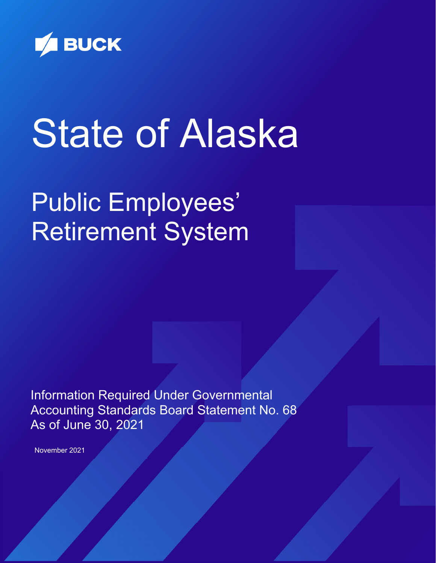

# State of Alaska

## Public Employees' Retirement System

Information Required Under Governmental Accounting Standards Board Statement No. 68 As of June 30, 2021

November 2021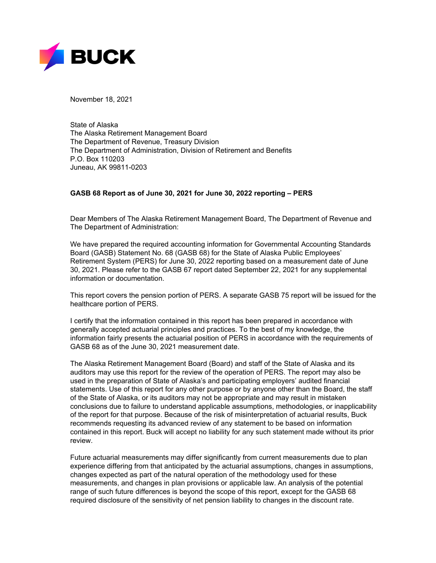

November 18, 2021

State of Alaska The Alaska Retirement Management Board The Department of Revenue, Treasury Division The Department of Administration, Division of Retirement and Benefits P.O. Box 110203 Juneau, AK 99811-0203

#### **GASB 68 Report as of June 30, 2021 for June 30, 2022 reporting – PERS**

Dear Members of The Alaska Retirement Management Board, The Department of Revenue and The Department of Administration:

We have prepared the required accounting information for Governmental Accounting Standards Board (GASB) Statement No. 68 (GASB 68) for the State of Alaska Public Employees' Retirement System (PERS) for June 30, 2022 reporting based on a measurement date of June 30, 2021. Please refer to the GASB 67 report dated September 22, 2021 for any supplemental information or documentation.

This report covers the pension portion of PERS. A separate GASB 75 report will be issued for the healthcare portion of PERS.

I certify that the information contained in this report has been prepared in accordance with generally accepted actuarial principles and practices. To the best of my knowledge, the information fairly presents the actuarial position of PERS in accordance with the requirements of GASB 68 as of the June 30, 2021 measurement date.

The Alaska Retirement Management Board (Board) and staff of the State of Alaska and its auditors may use this report for the review of the operation of PERS. The report may also be used in the preparation of State of Alaska's and participating employers' audited financial statements. Use of this report for any other purpose or by anyone other than the Board, the staff of the State of Alaska, or its auditors may not be appropriate and may result in mistaken conclusions due to failure to understand applicable assumptions, methodologies, or inapplicability of the report for that purpose. Because of the risk of misinterpretation of actuarial results, Buck recommends requesting its advanced review of any statement to be based on information contained in this report. Buck will accept no liability for any such statement made without its prior review.

Future actuarial measurements may differ significantly from current measurements due to plan experience differing from that anticipated by the actuarial assumptions, changes in assumptions, changes expected as part of the natural operation of the methodology used for these measurements, and changes in plan provisions or applicable law. An analysis of the potential range of such future differences is beyond the scope of this report, except for the GASB 68 required disclosure of the sensitivity of net pension liability to changes in the discount rate.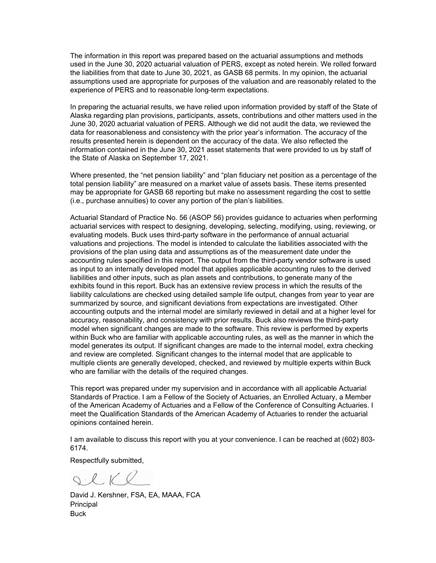The information in this report was prepared based on the actuarial assumptions and methods used in the June 30, 2020 actuarial valuation of PERS, except as noted herein. We rolled forward the liabilities from that date to June 30, 2021, as GASB 68 permits. In my opinion, the actuarial assumptions used are appropriate for purposes of the valuation and are reasonably related to the experience of PERS and to reasonable long-term expectations.

In preparing the actuarial results, we have relied upon information provided by staff of the State of Alaska regarding plan provisions, participants, assets, contributions and other matters used in the June 30, 2020 actuarial valuation of PERS. Although we did not audit the data, we reviewed the data for reasonableness and consistency with the prior year's information. The accuracy of the results presented herein is dependent on the accuracy of the data. We also reflected the information contained in the June 30, 2021 asset statements that were provided to us by staff of the State of Alaska on September 17, 2021.

Where presented, the "net pension liability" and "plan fiduciary net position as a percentage of the total pension liability" are measured on a market value of assets basis. These items presented may be appropriate for GASB 68 reporting but make no assessment regarding the cost to settle (i.e., purchase annuities) to cover any portion of the plan's liabilities.

Actuarial Standard of Practice No. 56 (ASOP 56) provides guidance to actuaries when performing actuarial services with respect to designing, developing, selecting, modifying, using, reviewing, or evaluating models. Buck uses third-party software in the performance of annual actuarial valuations and projections. The model is intended to calculate the liabilities associated with the provisions of the plan using data and assumptions as of the measurement date under the accounting rules specified in this report. The output from the third-party vendor software is used as input to an internally developed model that applies applicable accounting rules to the derived liabilities and other inputs, such as plan assets and contributions, to generate many of the exhibits found in this report. Buck has an extensive review process in which the results of the liability calculations are checked using detailed sample life output, changes from year to year are summarized by source, and significant deviations from expectations are investigated. Other accounting outputs and the internal model are similarly reviewed in detail and at a higher level for accuracy, reasonability, and consistency with prior results. Buck also reviews the third-party model when significant changes are made to the software. This review is performed by experts within Buck who are familiar with applicable accounting rules, as well as the manner in which the model generates its output. If significant changes are made to the internal model, extra checking and review are completed. Significant changes to the internal model that are applicable to multiple clients are generally developed, checked, and reviewed by multiple experts within Buck who are familiar with the details of the required changes.

This report was prepared under my supervision and in accordance with all applicable Actuarial Standards of Practice. I am a Fellow of the Society of Actuaries, an Enrolled Actuary, a Member of the American Academy of Actuaries and a Fellow of the Conference of Consulting Actuaries. I meet the Qualification Standards of the American Academy of Actuaries to render the actuarial opinions contained herein.

I am available to discuss this report with you at your convenience. I can be reached at (602) 803- 6174.

Respectfully submitted,

 $Q. L K Q$ 

David J. Kershner, FSA, EA, MAAA, FCA Principal Buck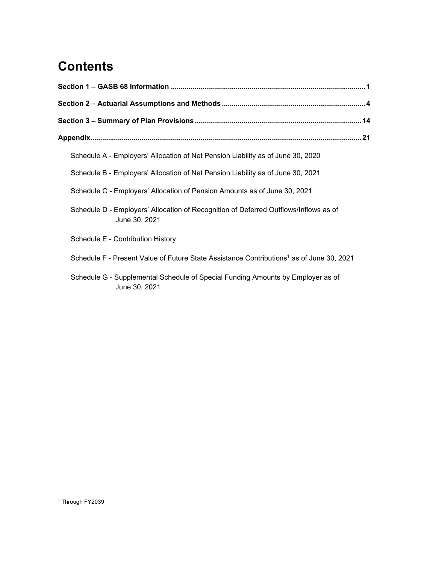## **Contents**

| Schedule A - Employers' Allocation of Net Pension Liability as of June 30, 2020                       |  |
|-------------------------------------------------------------------------------------------------------|--|
| Schedule B - Employers' Allocation of Net Pension Liability as of June 30, 2021                       |  |
| Schedule C - Employers' Allocation of Pension Amounts as of June 30, 2021                             |  |
| Schedule D - Employers' Allocation of Recognition of Deferred Outflows/Inflows as of<br>June 30, 2021 |  |
| Schedule E - Contribution History                                                                     |  |
| Schedule F - Present Value of Future State Assistance Contributions <sup>1</sup> as of June 30, 2021  |  |
| Schedule G - Supplemental Schedule of Special Funding Amounts by Employer as of<br>June 30, 2021      |  |

<sup>&</sup>lt;sup>1</sup> Through FY2039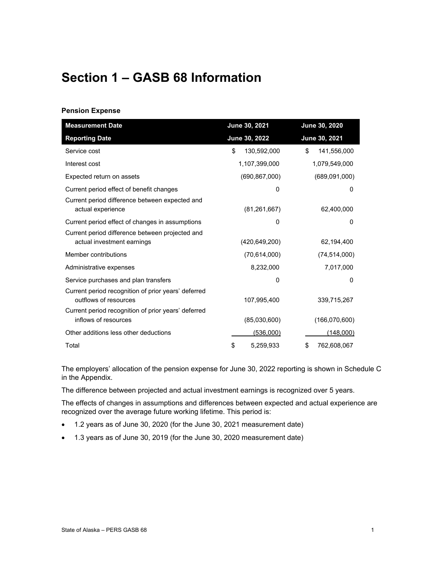## **Section 1 – GASB 68 Information**

#### **Pension Expense**

| <b>Measurement Date</b>                                                       | June 30, 2021     | June 30, 2020     |  |
|-------------------------------------------------------------------------------|-------------------|-------------------|--|
| <b>Reporting Date</b>                                                         | June 30, 2022     | June 30, 2021     |  |
| Service cost                                                                  | 130,592,000<br>\$ | \$<br>141,556,000 |  |
| Interest cost                                                                 | 1,107,399,000     | 1,079,549,000     |  |
| Expected return on assets                                                     | (690, 867, 000)   | (689,091,000)     |  |
| Current period effect of benefit changes                                      | 0                 | $\Omega$          |  |
| Current period difference between expected and<br>actual experience           | (81, 261, 667)    | 62,400,000        |  |
| Current period effect of changes in assumptions                               | 0                 | 0                 |  |
| Current period difference between projected and<br>actual investment earnings | (420, 649, 200)   | 62,194,400        |  |
| Member contributions                                                          | (70, 614, 000)    | (74, 514, 000)    |  |
| Administrative expenses                                                       | 8,232,000         | 7,017,000         |  |
| Service purchases and plan transfers                                          | $\Omega$          | $\Omega$          |  |
| Current period recognition of prior years' deferred<br>outflows of resources  | 107,995,400       | 339,715,267       |  |
| Current period recognition of prior years' deferred<br>inflows of resources   | (85,030,600)      | (166,070,600)     |  |
| Other additions less other deductions                                         | <u>(536,000)</u>  | <u>(148,000)</u>  |  |
| Total                                                                         | 5,259,933<br>S    | 762,608,067<br>\$ |  |

The employers' allocation of the pension expense for June 30, 2022 reporting is shown in Schedule C in the Appendix.

The difference between projected and actual investment earnings is recognized over 5 years.

The effects of changes in assumptions and differences between expected and actual experience are recognized over the average future working lifetime. This period is:

- 1.2 years as of June 30, 2020 (for the June 30, 2021 measurement date)
- 1.3 years as of June 30, 2019 (for the June 30, 2020 measurement date)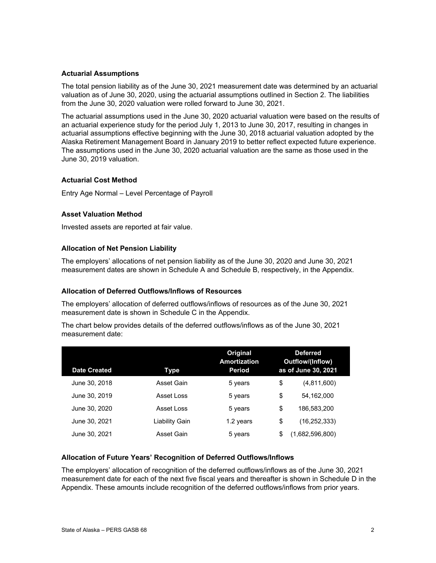#### **Actuarial Assumptions**

The total pension liability as of the June 30, 2021 measurement date was determined by an actuarial valuation as of June 30, 2020, using the actuarial assumptions outlined in Section 2. The liabilities from the June 30, 2020 valuation were rolled forward to June 30, 2021.

The actuarial assumptions used in the June 30, 2020 actuarial valuation were based on the results of an actuarial experience study for the period July 1, 2013 to June 30, 2017, resulting in changes in actuarial assumptions effective beginning with the June 30, 2018 actuarial valuation adopted by the Alaska Retirement Management Board in January 2019 to better reflect expected future experience. The assumptions used in the June 30, 2020 actuarial valuation are the same as those used in the June 30, 2019 valuation.

#### **Actuarial Cost Method**

Entry Age Normal – Level Percentage of Payroll

#### **Asset Valuation Method**

Invested assets are reported at fair value.

#### **Allocation of Net Pension Liability**

The employers' allocations of net pension liability as of the June 30, 2020 and June 30, 2021 measurement dates are shown in Schedule A and Schedule B, respectively, in the Appendix.

#### **Allocation of Deferred Outflows/Inflows of Resources**

The employers' allocation of deferred outflows/inflows of resources as of the June 30, 2021 measurement date is shown in Schedule C in the Appendix.

The chart below provides details of the deferred outflows/inflows as of the June 30, 2021 measurement date:

| <b>Date Created</b> | Type                  |           | <b>Deferred</b><br>Outflow/(Inflow)<br>as of June 30, 2021 |                 |
|---------------------|-----------------------|-----------|------------------------------------------------------------|-----------------|
| June 30, 2018       | Asset Gain            | 5 years   | \$                                                         | (4,811,600)     |
| June 30, 2019       | Asset Loss            | 5 years   | \$                                                         | 54.162.000      |
| June 30, 2020       | Asset Loss            | 5 years   | \$                                                         | 186.583.200     |
| June 30, 2021       | <b>Liability Gain</b> | 1.2 years | \$                                                         | (16, 252, 333)  |
| June 30, 2021       | Asset Gain            | 5 years   | S                                                          | (1,682,596,800) |

#### **Allocation of Future Years' Recognition of Deferred Outflows/Inflows**

The employers' allocation of recognition of the deferred outflows/inflows as of the June 30, 2021 measurement date for each of the next five fiscal years and thereafter is shown in Schedule D in the Appendix. These amounts include recognition of the deferred outflows/inflows from prior years.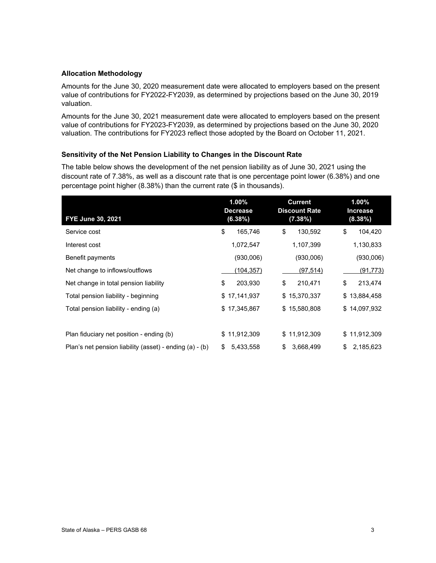#### **Allocation Methodology**

Amounts for the June 30, 2020 measurement date were allocated to employers based on the present value of contributions for FY2022-FY2039, as determined by projections based on the June 30, 2019 valuation.

Amounts for the June 30, 2021 measurement date were allocated to employers based on the present value of contributions for FY2023-FY2039, as determined by projections based on the June 30, 2020 valuation. The contributions for FY2023 reflect those adopted by the Board on October 11, 2021.

#### **Sensitivity of the Net Pension Liability to Changes in the Discount Rate**

The table below shows the development of the net pension liability as of June 30, 2021 using the discount rate of 7.38%, as well as a discount rate that is one percentage point lower (6.38%) and one percentage point higher (8.38%) than the current rate (\$ in thousands).

| FYE June 30, 2021                                       | 1.00%<br><b>Decrease</b><br>(6.38%) | <b>Current</b><br><b>Discount Rate</b><br>(7.38%) | $1.00\%$<br><b>Increase</b><br>(8.38%) |
|---------------------------------------------------------|-------------------------------------|---------------------------------------------------|----------------------------------------|
| Service cost                                            | \$<br>165,746                       | \$<br>130,592                                     | \$<br>104,420                          |
| Interest cost                                           | 1,072,547                           | 1,107,399                                         | 1,130,833                              |
| Benefit payments                                        | (930,006)                           | (930,006)                                         | (930,006)                              |
| Net change to inflows/outflows                          | (104, 357)                          | (97, 514)                                         | (91, 773)                              |
| Net change in total pension liability                   | \$<br>203,930                       | \$<br>210,471                                     | \$<br>213,474                          |
| Total pension liability - beginning                     | \$17,141,937                        | \$15,370,337                                      | \$<br>13,884,458                       |
| Total pension liability - ending (a)                    | \$17,345,867                        | \$15,580,808                                      | \$14,097,932                           |
|                                                         |                                     |                                                   |                                        |
| Plan fiduciary net position - ending (b)                | 11,912,309<br>\$.                   | \$11,912,309                                      | 11,912,309<br>\$                       |
| Plan's net pension liability (asset) - ending (a) - (b) | \$<br>5,433,558                     | \$<br>3,668,499                                   | \$<br>2,185,623                        |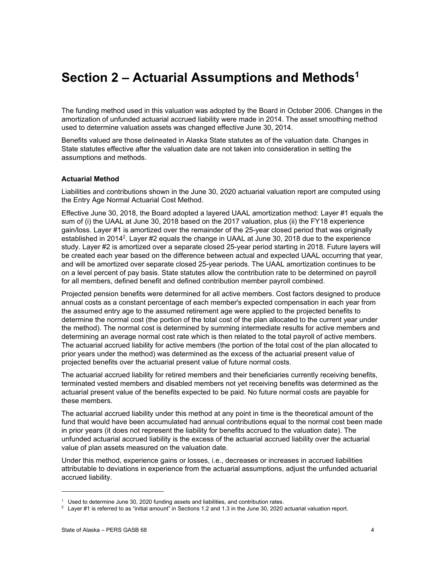## **Section 2 – Actuarial Assumptions and Methods1**

The funding method used in this valuation was adopted by the Board in October 2006. Changes in the amortization of unfunded actuarial accrued liability were made in 2014. The asset smoothing method used to determine valuation assets was changed effective June 30, 2014.

Benefits valued are those delineated in Alaska State statutes as of the valuation date. Changes in State statutes effective after the valuation date are not taken into consideration in setting the assumptions and methods.

#### **Actuarial Method**

Liabilities and contributions shown in the June 30, 2020 actuarial valuation report are computed using the Entry Age Normal Actuarial Cost Method.

Effective June 30, 2018, the Board adopted a layered UAAL amortization method: Layer #1 equals the sum of (i) the UAAL at June 30, 2018 based on the 2017 valuation, plus (ii) the FY18 experience gain/loss. Layer #1 is amortized over the remainder of the 25-year closed period that was originally established in 2014<sup>2</sup>. Layer #2 equals the change in UAAL at June 30, 2018 due to the experience study. Layer #2 is amortized over a separate closed 25-year period starting in 2018. Future layers will be created each year based on the difference between actual and expected UAAL occurring that year, and will be amortized over separate closed 25-year periods. The UAAL amortization continues to be on a level percent of pay basis. State statutes allow the contribution rate to be determined on payroll for all members, defined benefit and defined contribution member payroll combined.

Projected pension benefits were determined for all active members. Cost factors designed to produce annual costs as a constant percentage of each member's expected compensation in each year from the assumed entry age to the assumed retirement age were applied to the projected benefits to determine the normal cost (the portion of the total cost of the plan allocated to the current year under the method). The normal cost is determined by summing intermediate results for active members and determining an average normal cost rate which is then related to the total payroll of active members. The actuarial accrued liability for active members (the portion of the total cost of the plan allocated to prior years under the method) was determined as the excess of the actuarial present value of projected benefits over the actuarial present value of future normal costs.

The actuarial accrued liability for retired members and their beneficiaries currently receiving benefits, terminated vested members and disabled members not yet receiving benefits was determined as the actuarial present value of the benefits expected to be paid. No future normal costs are payable for these members.

The actuarial accrued liability under this method at any point in time is the theoretical amount of the fund that would have been accumulated had annual contributions equal to the normal cost been made in prior years (it does not represent the liability for benefits accrued to the valuation date). The unfunded actuarial accrued liability is the excess of the actuarial accrued liability over the actuarial value of plan assets measured on the valuation date.

Under this method, experience gains or losses, i.e., decreases or increases in accrued liabilities attributable to deviations in experience from the actuarial assumptions, adjust the unfunded actuarial accrued liability.

 $^1$  Used to determine June 30, 2020 funding assets and liabilities, and contribution rates.<br>2 Laver #1 is referred to as "initial amount" in Sections 1.2 and 1.3 in the June 30, 2020.

 $2$  Layer #1 is referred to as "initial amount" in Sections 1.2 and 1.3 in the June 30, 2020 actuarial valuation report.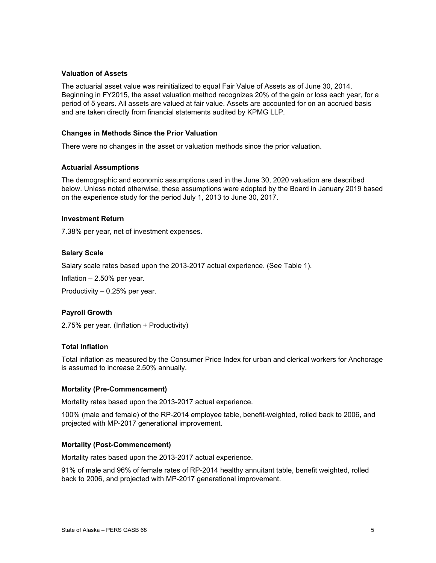#### **Valuation of Assets**

The actuarial asset value was reinitialized to equal Fair Value of Assets as of June 30, 2014. Beginning in FY2015, the asset valuation method recognizes 20% of the gain or loss each year, for a period of 5 years. All assets are valued at fair value. Assets are accounted for on an accrued basis and are taken directly from financial statements audited by KPMG LLP.

#### **Changes in Methods Since the Prior Valuation**

There were no changes in the asset or valuation methods since the prior valuation.

#### **Actuarial Assumptions**

The demographic and economic assumptions used in the June 30, 2020 valuation are described below. Unless noted otherwise, these assumptions were adopted by the Board in January 2019 based on the experience study for the period July 1, 2013 to June 30, 2017.

#### **Investment Return**

7.38% per year, net of investment expenses.

#### **Salary Scale**

Salary scale rates based upon the 2013-2017 actual experience. (See Table 1).

Inflation – 2.50% per year.

Productivity – 0.25% per year.

#### **Payroll Growth**

2.75% per year. (Inflation + Productivity)

#### **Total Inflation**

Total inflation as measured by the Consumer Price Index for urban and clerical workers for Anchorage is assumed to increase 2.50% annually.

#### **Mortality (Pre-Commencement)**

Mortality rates based upon the 2013-2017 actual experience.

100% (male and female) of the RP-2014 employee table, benefit-weighted, rolled back to 2006, and projected with MP-2017 generational improvement.

#### **Mortality (Post-Commencement)**

Mortality rates based upon the 2013-2017 actual experience.

91% of male and 96% of female rates of RP-2014 healthy annuitant table, benefit weighted, rolled back to 2006, and projected with MP-2017 generational improvement.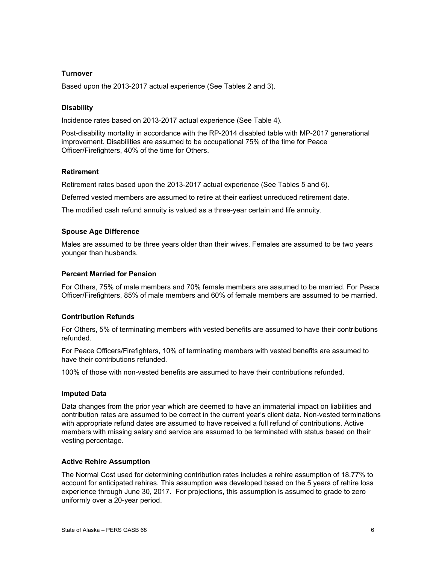#### **Turnover**

Based upon the 2013-2017 actual experience (See Tables 2 and 3).

#### **Disability**

Incidence rates based on 2013-2017 actual experience (See Table 4).

Post-disability mortality in accordance with the RP-2014 disabled table with MP-2017 generational improvement. Disabilities are assumed to be occupational 75% of the time for Peace Officer/Firefighters, 40% of the time for Others.

#### **Retirement**

Retirement rates based upon the 2013-2017 actual experience (See Tables 5 and 6).

Deferred vested members are assumed to retire at their earliest unreduced retirement date.

The modified cash refund annuity is valued as a three-year certain and life annuity.

#### **Spouse Age Difference**

Males are assumed to be three years older than their wives. Females are assumed to be two years younger than husbands.

#### **Percent Married for Pension**

For Others, 75% of male members and 70% female members are assumed to be married. For Peace Officer/Firefighters, 85% of male members and 60% of female members are assumed to be married.

#### **Contribution Refunds**

For Others, 5% of terminating members with vested benefits are assumed to have their contributions refunded.

For Peace Officers/Firefighters, 10% of terminating members with vested benefits are assumed to have their contributions refunded.

100% of those with non-vested benefits are assumed to have their contributions refunded.

#### **Imputed Data**

Data changes from the prior year which are deemed to have an immaterial impact on liabilities and contribution rates are assumed to be correct in the current year's client data. Non-vested terminations with appropriate refund dates are assumed to have received a full refund of contributions. Active members with missing salary and service are assumed to be terminated with status based on their vesting percentage.

#### **Active Rehire Assumption**

The Normal Cost used for determining contribution rates includes a rehire assumption of 18.77% to account for anticipated rehires. This assumption was developed based on the 5 years of rehire loss experience through June 30, 2017. For projections, this assumption is assumed to grade to zero uniformly over a 20-year period.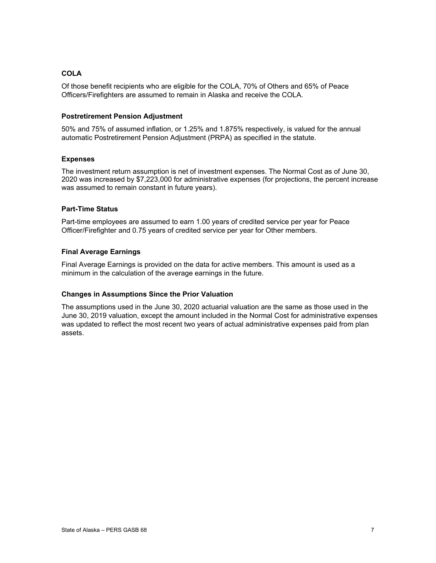#### **COLA**

Of those benefit recipients who are eligible for the COLA, 70% of Others and 65% of Peace Officers/Firefighters are assumed to remain in Alaska and receive the COLA.

#### **Postretirement Pension Adjustment**

50% and 75% of assumed inflation, or 1.25% and 1.875% respectively, is valued for the annual automatic Postretirement Pension Adjustment (PRPA) as specified in the statute.

#### **Expenses**

The investment return assumption is net of investment expenses. The Normal Cost as of June 30, 2020 was increased by \$7,223,000 for administrative expenses (for projections, the percent increase was assumed to remain constant in future years).

#### **Part-Time Status**

Part-time employees are assumed to earn 1.00 years of credited service per year for Peace Officer/Firefighter and 0.75 years of credited service per year for Other members.

#### **Final Average Earnings**

Final Average Earnings is provided on the data for active members. This amount is used as a minimum in the calculation of the average earnings in the future.

#### **Changes in Assumptions Since the Prior Valuation**

The assumptions used in the June 30, 2020 actuarial valuation are the same as those used in the June 30, 2019 valuation, except the amount included in the Normal Cost for administrative expenses was updated to reflect the most recent two years of actual administrative expenses paid from plan assets.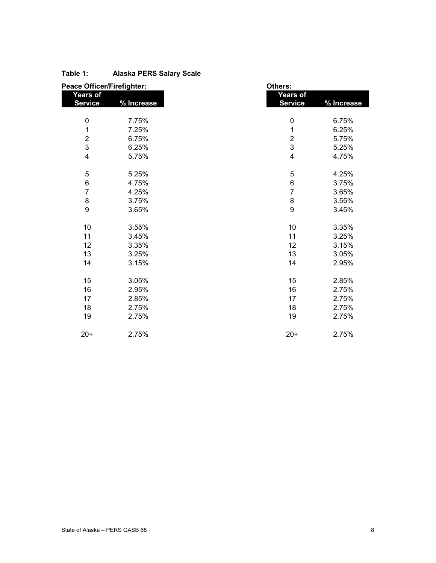| <b>Peace Officer/Firefighter:</b> |            | Others:                    |            |  |  |
|-----------------------------------|------------|----------------------------|------------|--|--|
| Years of<br><b>Service</b>        | % Increase | Years of<br><b>Service</b> | % Increase |  |  |
| $\mathbf 0$                       | 7.75%      | $\pmb{0}$                  | 6.75%      |  |  |
| 1                                 | 7.25%      | $\mathbf 1$                | 6.25%      |  |  |
|                                   | 6.75%      | $\boldsymbol{2}$           | 5.75%      |  |  |
| $\frac{2}{3}$                     | 6.25%      | $\mathsf 3$                | 5.25%      |  |  |
| $\overline{\mathbf{4}}$           | 5.75%      | $\overline{\mathbf{4}}$    | 4.75%      |  |  |
| $\mathbf 5$                       | 5.25%      | $\mathbf 5$                | 4.25%      |  |  |
| $\,6$                             | 4.75%      | $\,6$                      | 3.75%      |  |  |
| $\overline{7}$                    | 4.25%      | $\overline{7}$             | 3.65%      |  |  |
| $\bf 8$                           | 3.75%      | $\bf 8$                    | 3.55%      |  |  |
| 9                                 | 3.65%      | $\boldsymbol{9}$           | 3.45%      |  |  |
| 10                                | 3.55%      | 10                         | 3.35%      |  |  |
| 11                                | 3.45%      | 11                         | 3.25%      |  |  |
| 12                                | 3.35%      | 12                         | 3.15%      |  |  |
| 13                                | 3.25%      | 13                         | 3.05%      |  |  |
| 14                                | 3.15%      | 14                         | 2.95%      |  |  |
| 15                                | 3.05%      | 15                         | 2.85%      |  |  |
| 16                                | 2.95%      | 16                         | 2.75%      |  |  |
| 17                                | 2.85%      | 17                         | 2.75%      |  |  |
| 18                                | 2.75%      | 18                         | 2.75%      |  |  |
| 19                                | 2.75%      | 19                         | 2.75%      |  |  |
| $20+$                             | 2.75%      | $20+$                      | 2.75%      |  |  |

#### **Table 1: Alaska PERS Salary Scale**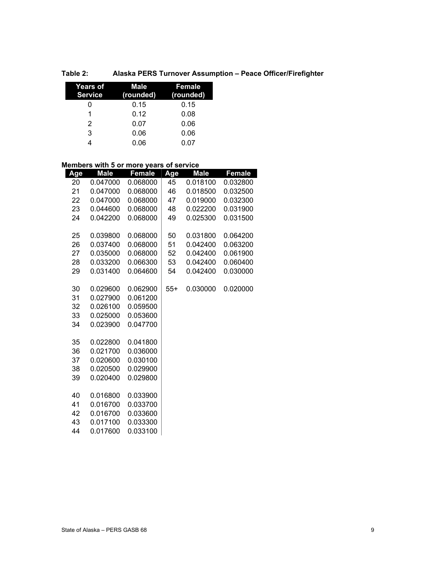| Table 2: |  |  |  | Alaska PERS Turnover Assumption - Peace Officer/Firefighter |
|----------|--|--|--|-------------------------------------------------------------|
|----------|--|--|--|-------------------------------------------------------------|

| <b>Years of</b><br><b>Service</b> | Male<br>(rounded) | Female<br>(rounded) |
|-----------------------------------|-------------------|---------------------|
|                                   | 0.15              | 0.15                |
| 1                                 | 0.12              | 0.08                |
| 2                                 | 0.07              | 0.06                |
| 3                                 | 0.06              | 0.06                |
|                                   | 0.06              | 0.07                |

#### **Members with 5 or more years of service**

| Age      | <b>Male</b>          | <b>Female</b>        | Age   | <b>Male</b> | <b>Female</b> |
|----------|----------------------|----------------------|-------|-------------|---------------|
| 20       | 0.047000             | 0.068000             | 45    | 0.018100    | 0.032800      |
| 21       | 0.047000             | 0.068000             | 46    | 0.018500    | 0.032500      |
| 22       | 0.047000             | 0.068000             | 47    | 0.019000    | 0.032300      |
| 23       | 0.044600             | 0.068000             | 48    | 0.022200    | 0.031900      |
| 24       | 0.042200             | 0.068000             | 49    | 0.025300    | 0.031500      |
| 25       | 0.039800             | 0.068000             | 50    | 0.031800    | 0.064200      |
| 26       | 0.037400             | 0.068000             | 51    | 0.042400    | 0.063200      |
| 27       | 0.035000             | 0.068000             | 52    | 0.042400    | 0.061900      |
| 28       | 0.033200             | 0.066300             | 53    | 0.042400    | 0.060400      |
| 29       | 0.031400             | 0.064600             | 54    | 0.042400    | 0.030000      |
| 30       | 0.029600             | 0.062900             | $55+$ | 0.030000    | 0.020000      |
| 31       | 0.027900             | 0.061200             |       |             |               |
| 32       | 0.026100             | 0.059500             |       |             |               |
| 33       | 0.025000             | 0.053600             |       |             |               |
| 34       | 0.023900             | 0.047700             |       |             |               |
| 35       | 0.022800             | 0.041800             |       |             |               |
| 36       | 0.021700             | 0.036000             |       |             |               |
| 37       | 0.020600             | 0.030100             |       |             |               |
| 38       | 0.020500             | 0.029900             |       |             |               |
| 39       | 0.020400             | 0.029800             |       |             |               |
|          |                      |                      |       |             |               |
| 40       | 0.016800<br>0.016700 | 0.033900             |       |             |               |
| 41       | 0.016700             | 0.033700             |       |             |               |
| 42<br>43 | 0.017100             | 0.033600<br>0.033300 |       |             |               |
| 44       | 0.017600             | 0.033100             |       |             |               |
|          |                      |                      |       |             |               |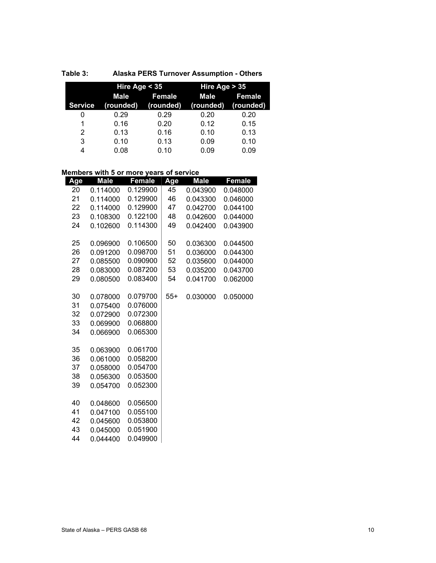|                | Hire Age $<$ 35        |      | Hire Age $> 35$ |               |  |
|----------------|------------------------|------|-----------------|---------------|--|
|                | Female<br>Male         |      | Male            | <b>Female</b> |  |
| <b>Service</b> | (rounded)<br>(rounded) |      | (rounded)       | (rounded)     |  |
| 0              | 0.29                   | 0.29 | 0.20            | 0.20          |  |
| 1              | 0.16                   | 0.20 | 0.12            | 0.15          |  |
| 2              | 0.13                   | 0.16 | 0.10            | 0.13          |  |
| 3              | 0.10                   | 0.13 | 0.09            | 0.10          |  |
| 4              | 0.08                   | 0.10 | 0.09            | 0.09          |  |

#### **Members with 5 or more years of service**

| Age | <b>Male</b> | Female   | Age   | <b>Male</b> | Female   |
|-----|-------------|----------|-------|-------------|----------|
| 20  | 0.114000    | 0.129900 | 45    | 0.043900    | 0.048000 |
| 21  | 0.114000    | 0.129900 | 46    | 0.043300    | 0.046000 |
| 22  | 0.114000    | 0.129900 | 47    | 0.042700    | 0.044100 |
| 23  | 0.108300    | 0.122100 | 48    | 0.042600    | 0.044000 |
| 24  | 0.102600    | 0.114300 | 49    | 0.042400    | 0.043900 |
|     |             |          |       |             |          |
| 25  | 0.096900    | 0.106500 | 50    | 0.036300    | 0.044500 |
| 26  | 0.091200    | 0.098700 | 51    | 0.036000    | 0.044300 |
| 27  | 0.085500    | 0.090900 | 52    | 0.035600    | 0.044000 |
| 28  | 0.083000    | 0.087200 | 53    | 0.035200    | 0.043700 |
| 29  | 0.080500    | 0.083400 | 54    | 0.041700    | 0.062000 |
|     |             |          |       |             |          |
| 30  | 0.078000    | 0.079700 | $55+$ | 0.030000    | 0.050000 |
| 31  | 0.075400    | 0.076000 |       |             |          |
| 32  | 0.072900    | 0.072300 |       |             |          |
| 33  | 0.069900    | 0.068800 |       |             |          |
| 34  | 0.066900    | 0.065300 |       |             |          |
|     |             |          |       |             |          |
| 35  | 0.063900    | 0.061700 |       |             |          |
| 36  | 0.061000    | 0.058200 |       |             |          |
| 37  | 0.058000    | 0.054700 |       |             |          |
| 38  | 0.056300    | 0.053500 |       |             |          |
| 39  | 0.054700    | 0.052300 |       |             |          |
|     |             |          |       |             |          |
| 40  | 0.048600    | 0.056500 |       |             |          |
| 41  | 0.047100    | 0.055100 |       |             |          |
| 42  | 0.045600    | 0.053800 |       |             |          |
| 43  | 0.045000    | 0.051900 |       |             |          |
| 44  | 0.044400    | 0.049900 |       |             |          |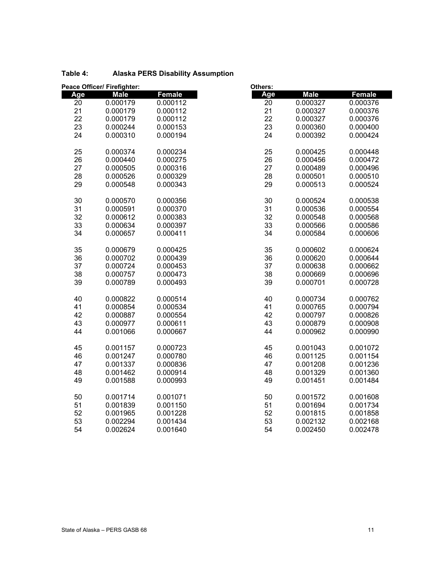| Peace Officer/ Firefighter: |             |          | Others: |             |          |  |
|-----------------------------|-------------|----------|---------|-------------|----------|--|
| Age                         | <b>Male</b> | Female   | Age     | <b>Male</b> | Female   |  |
| 20                          | 0.000179    | 0.000112 | 20      | 0.000327    | 0.000376 |  |
| 21                          | 0.000179    | 0.000112 | 21      | 0.000327    | 0.000376 |  |
| 22                          | 0.000179    | 0.000112 | 22      | 0.000327    | 0.000376 |  |
| 23                          | 0.000244    | 0.000153 | 23      | 0.000360    | 0.000400 |  |
| 24                          | 0.000310    | 0.000194 | 24      | 0.000392    | 0.000424 |  |
| 25                          | 0.000374    | 0.000234 | 25      | 0.000425    | 0.000448 |  |
| 26                          | 0.000440    | 0.000275 | 26      | 0.000456    | 0.000472 |  |
| 27                          | 0.000505    | 0.000316 | 27      | 0.000489    | 0.000496 |  |
| 28                          | 0.000526    | 0.000329 | 28      | 0.000501    | 0.000510 |  |
| 29                          | 0.000548    | 0.000343 | 29      | 0.000513    | 0.000524 |  |
| 30                          | 0.000570    | 0.000356 | 30      | 0.000524    | 0.000538 |  |
| 31                          | 0.000591    | 0.000370 | 31      | 0.000536    | 0.000554 |  |
| 32                          | 0.000612    | 0.000383 | 32      | 0.000548    | 0.000568 |  |
| 33                          | 0.000634    | 0.000397 | 33      | 0.000566    | 0.000586 |  |
| 34                          | 0.000657    | 0.000411 | 34      | 0.000584    | 0.000606 |  |
| 35                          | 0.000679    | 0.000425 | 35      | 0.000602    | 0.000624 |  |
| 36                          | 0.000702    | 0.000439 | 36      | 0.000620    | 0.000644 |  |
| 37                          | 0.000724    | 0.000453 | 37      | 0.000638    | 0.000662 |  |
| 38                          | 0.000757    | 0.000473 | 38      | 0.000669    | 0.000696 |  |
| 39                          | 0.000789    | 0.000493 | 39      | 0.000701    | 0.000728 |  |
| 40                          | 0.000822    | 0.000514 | 40      | 0.000734    | 0.000762 |  |
| 41                          | 0.000854    | 0.000534 | 41      | 0.000765    | 0.000794 |  |
| 42                          | 0.000887    | 0.000554 | 42      | 0.000797    | 0.000826 |  |
| 43                          | 0.000977    | 0.000611 | 43      | 0.000879    | 0.000908 |  |
| 44                          | 0.001066    | 0.000667 | 44      | 0.000962    | 0.000990 |  |
| 45                          | 0.001157    | 0.000723 | 45      | 0.001043    | 0.001072 |  |
| 46                          | 0.001247    | 0.000780 | 46      | 0.001125    | 0.001154 |  |
| 47                          | 0.001337    | 0.000836 | 47      | 0.001208    | 0.001236 |  |
| 48                          | 0.001462    | 0.000914 | 48      | 0.001329    | 0.001360 |  |
| 49                          | 0.001588    | 0.000993 | 49      | 0.001451    | 0.001484 |  |
| 50                          | 0.001714    | 0.001071 | 50      | 0.001572    | 0.001608 |  |
| 51                          | 0.001839    | 0.001150 | 51      | 0.001694    | 0.001734 |  |
| 52                          | 0.001965    | 0.001228 | 52      | 0.001815    | 0.001858 |  |
| 53                          | 0.002294    | 0.001434 | 53      | 0.002132    | 0.002168 |  |
| 54                          | 0.002624    | 0.001640 | 54      | 0.002450    | 0.002478 |  |

#### **Table 4: Alaska PERS Disability Assumption**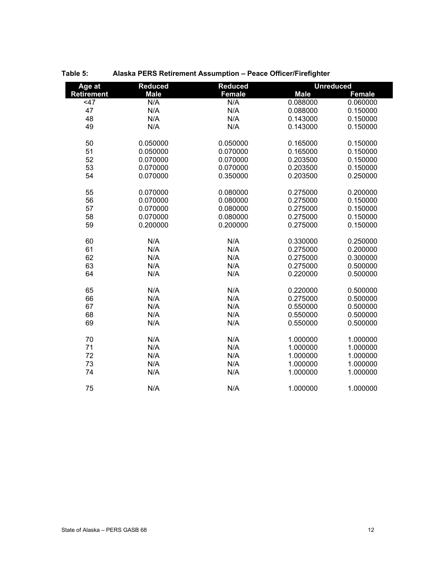| Age at            | <b>Reduced</b> | <b>Reduced</b> | <b>Unreduced</b> |               |
|-------------------|----------------|----------------|------------------|---------------|
| <b>Retirement</b> | <b>Male</b>    | <b>Female</b>  | <b>Male</b>      | <b>Female</b> |
| 47                | N/A            | N/A            | 0.088000         | 0.060000      |
| 47                | N/A            | N/A            | 0.088000         | 0.150000      |
| 48                | N/A            | N/A            | 0.143000         | 0.150000      |
| 49                | N/A            | N/A            | 0.143000         | 0.150000      |
|                   |                |                |                  |               |
| 50                | 0.050000       | 0.050000       | 0.165000         | 0.150000      |
| 51                | 0.050000       | 0.070000       | 0.165000         | 0.150000      |
| 52                | 0.070000       | 0.070000       | 0.203500         | 0.150000      |
| 53                | 0.070000       | 0.070000       | 0.203500         | 0.150000      |
| 54                | 0.070000       | 0.350000       | 0.203500         | 0.250000      |
|                   |                |                |                  |               |
| 55                | 0.070000       | 0.080000       | 0.275000         | 0.200000      |
| 56                | 0.070000       | 0.080000       | 0.275000         | 0.150000      |
| 57                | 0.070000       | 0.080000       | 0.275000         | 0.150000      |
| 58                | 0.070000       | 0.080000       | 0.275000         | 0.150000      |
| 59                | 0.200000       | 0.200000       | 0.275000         | 0.150000      |
|                   |                |                |                  |               |
| 60                | N/A            | N/A            | 0.330000         | 0.250000      |
| 61                | N/A            | N/A            | 0.275000         | 0.200000      |
| 62                | N/A            | N/A            | 0.275000         | 0.300000      |
| 63                | N/A            | N/A            | 0.275000         | 0.500000      |
| 64                | N/A            | N/A            | 0.220000         | 0.500000      |
|                   |                |                |                  |               |
| 65                | N/A            | N/A            | 0.220000         | 0.500000      |
| 66                | N/A            | N/A            | 0.275000         | 0.500000      |
| 67                | N/A            | N/A            | 0.550000         | 0.500000      |
| 68                | N/A            | N/A            | 0.550000         | 0.500000      |
| 69                | N/A            | N/A            | 0.550000         | 0.500000      |
| 70                | N/A            | N/A            | 1.000000         | 1.000000      |
| 71                | N/A            | N/A            | 1.000000         | 1.000000      |
| 72                | N/A            | N/A            | 1.000000         | 1.000000      |
| 73                | N/A            | N/A            | 1.000000         | 1.000000      |
| 74                | N/A            | N/A            | 1.000000         | 1.000000      |
|                   |                |                |                  |               |
| 75                | N/A            | N/A            | 1.000000         | 1.000000      |
|                   |                |                |                  |               |

**Table 5: Alaska PERS Retirement Assumption – Peace Officer/Firefighter**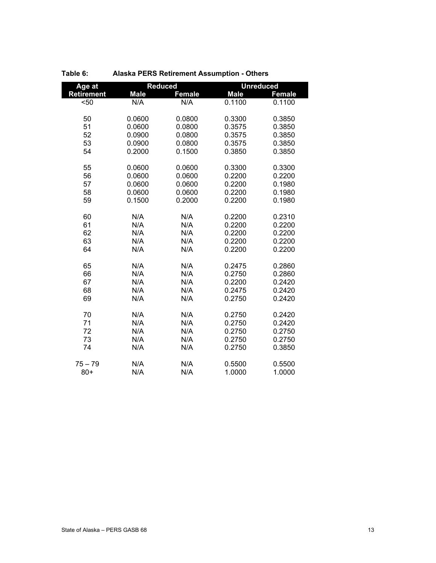| Age at            | <b>Reduced</b> |               | <b>Unreduced</b> |               |
|-------------------|----------------|---------------|------------------|---------------|
| <b>Retirement</b> | <b>Male</b>    | <b>Female</b> | <b>Male</b>      | <b>Female</b> |
| $50$              | N/A            | N/A           | 0.1100           | 0.1100        |
|                   |                |               |                  |               |
| 50                | 0.0600         | 0.0800        | 0.3300           | 0.3850        |
| 51                | 0.0600         | 0.0800        | 0.3575           | 0.3850        |
| 52                | 0.0900         | 0.0800        | 0.3575           | 0.3850        |
| 53                | 0.0900         | 0.0800        | 0.3575           | 0.3850        |
| 54                | 0.2000         | 0.1500        | 0.3850           | 0.3850        |
| 55                | 0.0600         | 0.0600        | 0.3300           | 0.3300        |
| 56                | 0.0600         | 0.0600        | 0.2200           | 0.2200        |
| 57                | 0.0600         | 0.0600        | 0.2200           | 0.1980        |
| 58                | 0.0600         | 0.0600        | 0.2200           | 0.1980        |
| 59                | 0.1500         | 0.2000        | 0.2200           | 0.1980        |
|                   |                |               |                  |               |
| 60                | N/A            | N/A           | 0.2200           | 0.2310        |
| 61                | N/A            | N/A           | 0.2200           | 0.2200        |
| 62                | N/A            | N/A           | 0.2200           | 0.2200        |
| 63                | N/A            | N/A           | 0.2200           | 0.2200        |
| 64                | N/A            | N/A           | 0.2200           | 0.2200        |
|                   |                |               |                  |               |
| 65                | N/A            | N/A           | 0.2475           | 0.2860        |
| 66                | N/A            | N/A           | 0.2750           | 0.2860        |
| 67                | N/A            | N/A           | 0.2200           | 0.2420        |
| 68                | N/A            | N/A           | 0.2475           | 0.2420        |
| 69                | N/A            | N/A           | 0.2750           | 0.2420        |
|                   |                |               |                  |               |
| 70                | N/A            | N/A           | 0.2750           | 0.2420        |
| 71                | N/A            | N/A           | 0.2750           | 0.2420        |
| 72                | N/A            | N/A           | 0.2750           | 0.2750        |
| 73                | N/A            | N/A           | 0.2750           | 0.2750        |
| 74                | N/A            | N/A           | 0.2750           | 0.3850        |
| $75 - 79$         | N/A            | N/A           | 0.5500           | 0.5500        |
| $80+$             | N/A            | N/A           | 1.0000           | 1.0000        |

#### **Table 6: Alaska PERS Retirement Assumption - Others**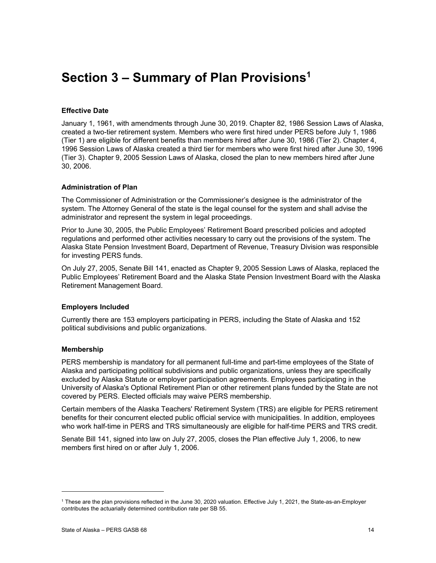## **Section 3 – Summary of Plan Provisions1**

#### **Effective Date**

January 1, 1961, with amendments through June 30, 2019. Chapter 82, 1986 Session Laws of Alaska, created a two-tier retirement system. Members who were first hired under PERS before July 1, 1986 (Tier 1) are eligible for different benefits than members hired after June 30, 1986 (Tier 2). Chapter 4, 1996 Session Laws of Alaska created a third tier for members who were first hired after June 30, 1996 (Tier 3). Chapter 9, 2005 Session Laws of Alaska, closed the plan to new members hired after June 30, 2006.

#### **Administration of Plan**

The Commissioner of Administration or the Commissioner's designee is the administrator of the system. The Attorney General of the state is the legal counsel for the system and shall advise the administrator and represent the system in legal proceedings.

Prior to June 30, 2005, the Public Employees' Retirement Board prescribed policies and adopted regulations and performed other activities necessary to carry out the provisions of the system. The Alaska State Pension Investment Board, Department of Revenue, Treasury Division was responsible for investing PERS funds.

On July 27, 2005, Senate Bill 141, enacted as Chapter 9, 2005 Session Laws of Alaska, replaced the Public Employees' Retirement Board and the Alaska State Pension Investment Board with the Alaska Retirement Management Board.

#### **Employers Included**

Currently there are 153 employers participating in PERS, including the State of Alaska and 152 political subdivisions and public organizations.

#### **Membership**

PERS membership is mandatory for all permanent full-time and part-time employees of the State of Alaska and participating political subdivisions and public organizations, unless they are specifically excluded by Alaska Statute or employer participation agreements. Employees participating in the University of Alaska's Optional Retirement Plan or other retirement plans funded by the State are not covered by PERS. Elected officials may waive PERS membership.

Certain members of the Alaska Teachers' Retirement System (TRS) are eligible for PERS retirement benefits for their concurrent elected public official service with municipalities. In addition, employees who work half-time in PERS and TRS simultaneously are eligible for half-time PERS and TRS credit.

Senate Bill 141, signed into law on July 27, 2005, closes the Plan effective July 1, 2006, to new members first hired on or after July 1, 2006.

<sup>1</sup> These are the plan provisions reflected in the June 30, 2020 valuation. Effective July 1, 2021, the State-as-an-Employer contributes the actuarially determined contribution rate per SB 55.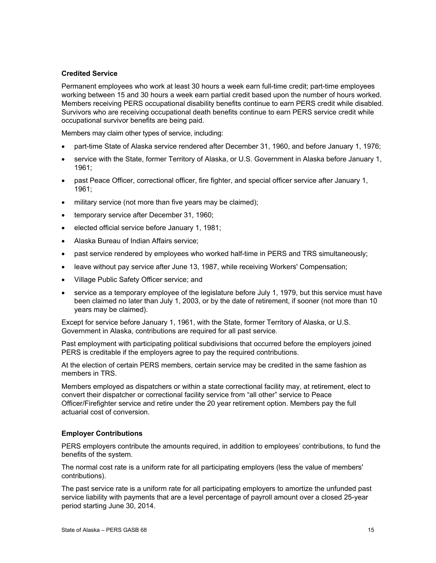#### **Credited Service**

Permanent employees who work at least 30 hours a week earn full-time credit; part-time employees working between 15 and 30 hours a week earn partial credit based upon the number of hours worked. Members receiving PERS occupational disability benefits continue to earn PERS credit while disabled. Survivors who are receiving occupational death benefits continue to earn PERS service credit while occupational survivor benefits are being paid.

Members may claim other types of service, including:

- part-time State of Alaska service rendered after December 31, 1960, and before January 1, 1976;
- service with the State, former Territory of Alaska, or U.S. Government in Alaska before January 1, 1961;
- past Peace Officer, correctional officer, fire fighter, and special officer service after January 1, 1961;
- military service (not more than five years may be claimed);
- temporary service after December 31, 1960;
- elected official service before January 1, 1981;
- Alaska Bureau of Indian Affairs service;
- past service rendered by employees who worked half-time in PERS and TRS simultaneously;
- leave without pay service after June 13, 1987, while receiving Workers' Compensation;
- Village Public Safety Officer service; and
- service as a temporary employee of the legislature before July 1, 1979, but this service must have been claimed no later than July 1, 2003, or by the date of retirement, if sooner (not more than 10 years may be claimed).

Except for service before January 1, 1961, with the State, former Territory of Alaska, or U.S. Government in Alaska, contributions are required for all past service.

Past employment with participating political subdivisions that occurred before the employers joined PERS is creditable if the employers agree to pay the required contributions.

At the election of certain PERS members, certain service may be credited in the same fashion as members in TRS

Members employed as dispatchers or within a state correctional facility may, at retirement, elect to convert their dispatcher or correctional facility service from "all other" service to Peace Officer/Firefighter service and retire under the 20 year retirement option. Members pay the full actuarial cost of conversion.

#### **Employer Contributions**

PERS employers contribute the amounts required, in addition to employees' contributions, to fund the benefits of the system.

The normal cost rate is a uniform rate for all participating employers (less the value of members' contributions).

The past service rate is a uniform rate for all participating employers to amortize the unfunded past service liability with payments that are a level percentage of payroll amount over a closed 25-year period starting June 30, 2014.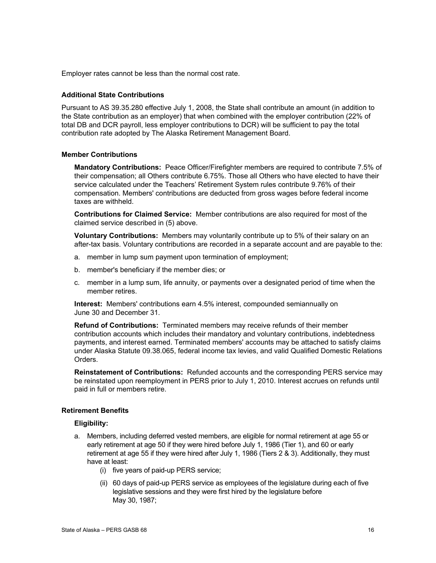Employer rates cannot be less than the normal cost rate.

#### **Additional State Contributions**

Pursuant to AS 39.35.280 effective July 1, 2008, the State shall contribute an amount (in addition to the State contribution as an employer) that when combined with the employer contribution (22% of total DB and DCR payroll, less employer contributions to DCR) will be sufficient to pay the total contribution rate adopted by The Alaska Retirement Management Board.

#### **Member Contributions**

**Mandatory Contributions:** Peace Officer/Firefighter members are required to contribute 7.5% of their compensation; all Others contribute 6.75%. Those all Others who have elected to have their service calculated under the Teachers' Retirement System rules contribute 9.76% of their compensation. Members' contributions are deducted from gross wages before federal income taxes are withheld.

**Contributions for Claimed Service:** Member contributions are also required for most of the claimed service described in (5) above.

**Voluntary Contributions:** Members may voluntarily contribute up to 5% of their salary on an after-tax basis. Voluntary contributions are recorded in a separate account and are payable to the:

- a. member in lump sum payment upon termination of employment;
- b. member's beneficiary if the member dies; or
- c. member in a lump sum, life annuity, or payments over a designated period of time when the member retires.

**Interest:** Members' contributions earn 4.5% interest, compounded semiannually on June 30 and December 31.

**Refund of Contributions:** Terminated members may receive refunds of their member contribution accounts which includes their mandatory and voluntary contributions, indebtedness payments, and interest earned. Terminated members' accounts may be attached to satisfy claims under Alaska Statute 09.38.065, federal income tax levies, and valid Qualified Domestic Relations Orders.

**Reinstatement of Contributions:** Refunded accounts and the corresponding PERS service may be reinstated upon reemployment in PERS prior to July 1, 2010. Interest accrues on refunds until paid in full or members retire.

#### **Retirement Benefits**

#### **Eligibility:**

- a. Members, including deferred vested members, are eligible for normal retirement at age 55 or early retirement at age 50 if they were hired before July 1, 1986 (Tier 1), and 60 or early retirement at age 55 if they were hired after July 1, 1986 (Tiers 2 & 3). Additionally, they must have at least:
	- (i) five years of paid-up PERS service;
	- (ii) 60 days of paid-up PERS service as employees of the legislature during each of five legislative sessions and they were first hired by the legislature before May 30, 1987;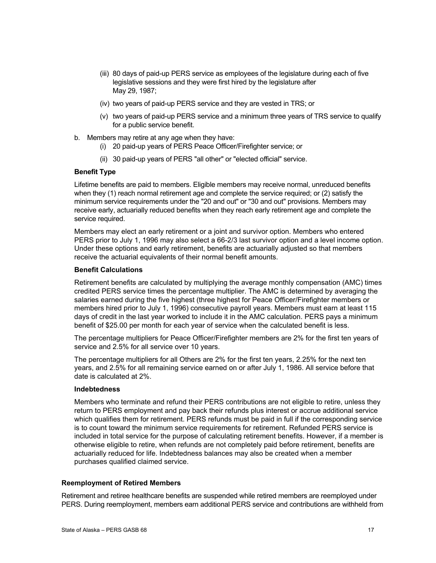- (iii) 80 days of paid-up PERS service as employees of the legislature during each of five legislative sessions and they were first hired by the legislature after May 29, 1987;
- (iv) two years of paid-up PERS service and they are vested in TRS; or
- (v) two years of paid-up PERS service and a minimum three years of TRS service to qualify for a public service benefit.
- b. Members may retire at any age when they have:
	- (i) 20 paid-up years of PERS Peace Officer/Firefighter service; or
	- (ii) 30 paid-up years of PERS "all other" or "elected official" service.

#### **Benefit Type**

Lifetime benefits are paid to members. Eligible members may receive normal, unreduced benefits when they (1) reach normal retirement age and complete the service required; or (2) satisfy the minimum service requirements under the "20 and out" or "30 and out" provisions. Members may receive early, actuarially reduced benefits when they reach early retirement age and complete the service required.

Members may elect an early retirement or a joint and survivor option. Members who entered PERS prior to July 1, 1996 may also select a 66-2/3 last survivor option and a level income option. Under these options and early retirement, benefits are actuarially adjusted so that members receive the actuarial equivalents of their normal benefit amounts.

#### **Benefit Calculations**

Retirement benefits are calculated by multiplying the average monthly compensation (AMC) times credited PERS service times the percentage multiplier. The AMC is determined by averaging the salaries earned during the five highest (three highest for Peace Officer/Firefighter members or members hired prior to July 1, 1996) consecutive payroll years. Members must earn at least 115 days of credit in the last year worked to include it in the AMC calculation. PERS pays a minimum benefit of \$25.00 per month for each year of service when the calculated benefit is less.

The percentage multipliers for Peace Officer/Firefighter members are 2% for the first ten years of service and 2.5% for all service over 10 years.

The percentage multipliers for all Others are 2% for the first ten years, 2.25% for the next ten years, and 2.5% for all remaining service earned on or after July 1, 1986. All service before that date is calculated at 2%.

#### **Indebtedness**

Members who terminate and refund their PERS contributions are not eligible to retire, unless they return to PERS employment and pay back their refunds plus interest or accrue additional service which qualifies them for retirement. PERS refunds must be paid in full if the corresponding service is to count toward the minimum service requirements for retirement. Refunded PERS service is included in total service for the purpose of calculating retirement benefits. However, if a member is otherwise eligible to retire, when refunds are not completely paid before retirement, benefits are actuarially reduced for life. Indebtedness balances may also be created when a member purchases qualified claimed service.

#### **Reemployment of Retired Members**

Retirement and retiree healthcare benefits are suspended while retired members are reemployed under PERS. During reemployment, members earn additional PERS service and contributions are withheld from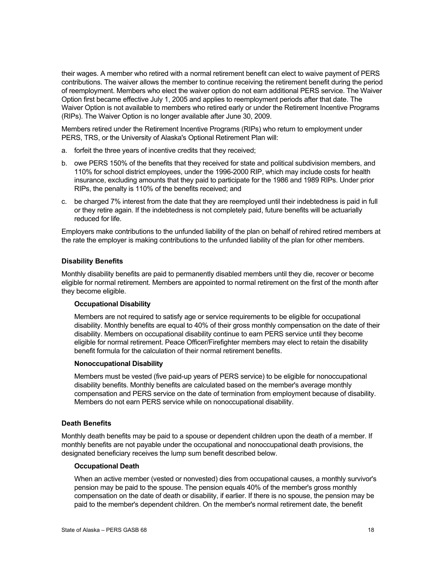their wages. A member who retired with a normal retirement benefit can elect to waive payment of PERS contributions. The waiver allows the member to continue receiving the retirement benefit during the period of reemployment. Members who elect the waiver option do not earn additional PERS service. The Waiver Option first became effective July 1, 2005 and applies to reemployment periods after that date. The Waiver Option is not available to members who retired early or under the Retirement Incentive Programs (RIPs). The Waiver Option is no longer available after June 30, 2009.

Members retired under the Retirement Incentive Programs (RIPs) who return to employment under PERS, TRS, or the University of Alaska's Optional Retirement Plan will:

- a. forfeit the three years of incentive credits that they received;
- b. owe PERS 150% of the benefits that they received for state and political subdivision members, and 110% for school district employees, under the 1996-2000 RIP, which may include costs for health insurance, excluding amounts that they paid to participate for the 1986 and 1989 RIPs. Under prior RIPs, the penalty is 110% of the benefits received; and
- c. be charged 7% interest from the date that they are reemployed until their indebtedness is paid in full or they retire again. If the indebtedness is not completely paid, future benefits will be actuarially reduced for life.

Employers make contributions to the unfunded liability of the plan on behalf of rehired retired members at the rate the employer is making contributions to the unfunded liability of the plan for other members.

#### **Disability Benefits**

Monthly disability benefits are paid to permanently disabled members until they die, recover or become eligible for normal retirement. Members are appointed to normal retirement on the first of the month after they become eligible.

#### **Occupational Disability**

Members are not required to satisfy age or service requirements to be eligible for occupational disability. Monthly benefits are equal to 40% of their gross monthly compensation on the date of their disability. Members on occupational disability continue to earn PERS service until they become eligible for normal retirement. Peace Officer/Firefighter members may elect to retain the disability benefit formula for the calculation of their normal retirement benefits.

#### **Nonoccupational Disability**

Members must be vested (five paid-up years of PERS service) to be eligible for nonoccupational disability benefits. Monthly benefits are calculated based on the member's average monthly compensation and PERS service on the date of termination from employment because of disability. Members do not earn PERS service while on nonoccupational disability.

#### **Death Benefits**

Monthly death benefits may be paid to a spouse or dependent children upon the death of a member. If monthly benefits are not payable under the occupational and nonoccupational death provisions, the designated beneficiary receives the lump sum benefit described below.

#### **Occupational Death**

When an active member (vested or nonvested) dies from occupational causes, a monthly survivor's pension may be paid to the spouse. The pension equals 40% of the member's gross monthly compensation on the date of death or disability, if earlier. If there is no spouse, the pension may be paid to the member's dependent children. On the member's normal retirement date, the benefit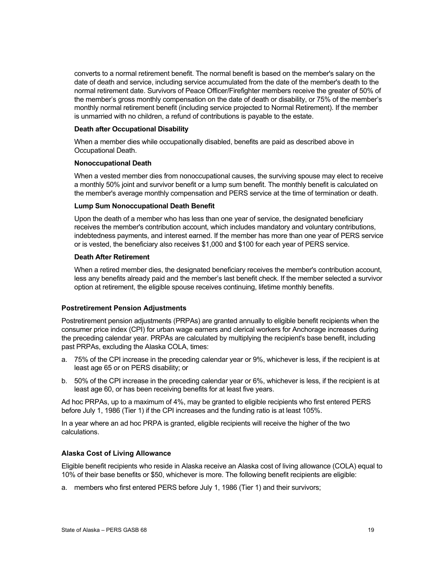converts to a normal retirement benefit. The normal benefit is based on the member's salary on the date of death and service, including service accumulated from the date of the member's death to the normal retirement date. Survivors of Peace Officer/Firefighter members receive the greater of 50% of the member's gross monthly compensation on the date of death or disability, or 75% of the member's monthly normal retirement benefit (including service projected to Normal Retirement). If the member is unmarried with no children, a refund of contributions is payable to the estate.

#### **Death after Occupational Disability**

When a member dies while occupationally disabled, benefits are paid as described above in Occupational Death.

#### **Nonoccupational Death**

When a vested member dies from nonoccupational causes, the surviving spouse may elect to receive a monthly 50% joint and survivor benefit or a lump sum benefit. The monthly benefit is calculated on the member's average monthly compensation and PERS service at the time of termination or death.

#### **Lump Sum Nonoccupational Death Benefit**

Upon the death of a member who has less than one year of service, the designated beneficiary receives the member's contribution account, which includes mandatory and voluntary contributions, indebtedness payments, and interest earned. If the member has more than one year of PERS service or is vested, the beneficiary also receives \$1,000 and \$100 for each year of PERS service.

#### **Death After Retirement**

When a retired member dies, the designated beneficiary receives the member's contribution account, less any benefits already paid and the member's last benefit check. If the member selected a survivor option at retirement, the eligible spouse receives continuing, lifetime monthly benefits.

#### **Postretirement Pension Adjustments**

Postretirement pension adjustments (PRPAs) are granted annually to eligible benefit recipients when the consumer price index (CPI) for urban wage earners and clerical workers for Anchorage increases during the preceding calendar year. PRPAs are calculated by multiplying the recipient's base benefit, including past PRPAs, excluding the Alaska COLA, times:

- a. 75% of the CPI increase in the preceding calendar year or 9%, whichever is less, if the recipient is at least age 65 or on PERS disability; or
- b. 50% of the CPI increase in the preceding calendar year or 6%, whichever is less, if the recipient is at least age 60, or has been receiving benefits for at least five years.

Ad hoc PRPAs, up to a maximum of 4%, may be granted to eligible recipients who first entered PERS before July 1, 1986 (Tier 1) if the CPI increases and the funding ratio is at least 105%.

In a year where an ad hoc PRPA is granted, eligible recipients will receive the higher of the two calculations.

#### **Alaska Cost of Living Allowance**

Eligible benefit recipients who reside in Alaska receive an Alaska cost of living allowance (COLA) equal to 10% of their base benefits or \$50, whichever is more. The following benefit recipients are eligible:

a. members who first entered PERS before July 1, 1986 (Tier 1) and their survivors;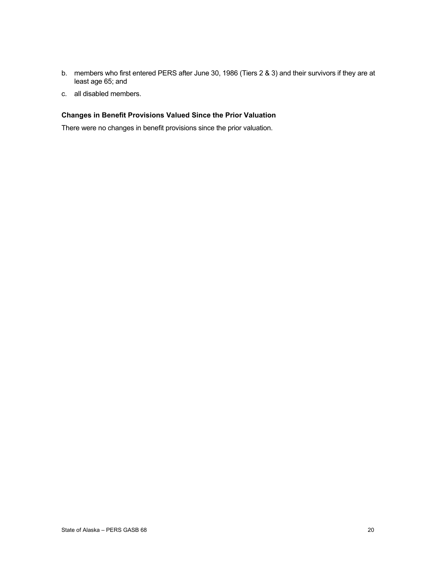- b. members who first entered PERS after June 30, 1986 (Tiers 2 & 3) and their survivors if they are at least age 65; and
- c. all disabled members.

#### **Changes in Benefit Provisions Valued Since the Prior Valuation**

There were no changes in benefit provisions since the prior valuation.